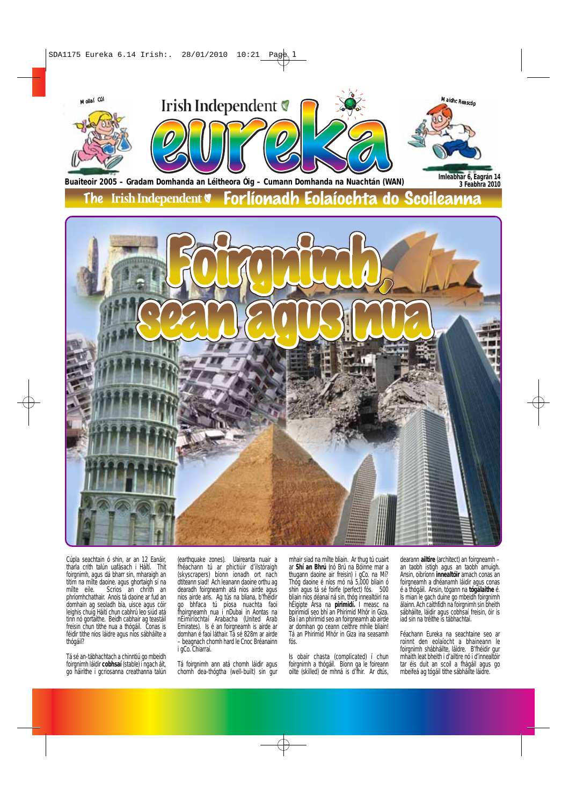

Cúpla seachtain ó shin, ar an 12 Eanáir, tharla crith talún uafásach i Háítí. Thit foirgnimh, agus dá bharr sin, mharaigh an titim na mílte daoine. agus ghortaigh sí na mílte eile. Scrios an chrith an phríomhchathair. Anois tá daoine ar fud an domhain ag seoladh bia, uisce agus cóir leighis chuig Háítí chun cabhrú leo siúd atá tinn nó gortaithe. Beidh cabhair ag teastáil freisin chun tithe nua a thógáil. Conas is féidir tithe níos láidre agus níos sábháilte a thógáil?

Tá sé an-tábhachtach a chinntiú go mbeidh foirgnimh láidir **cobhsaí** (stable) i ngach áit, go háirithe i gcriosanna creathanna talún (earthquake zones). Uaireanta nuair a fhéachann tú ar phictiúir d'ilstóraigh (skyscrapers) bíonn ionadh ort nach dtiteann siad! Ach leanann daoine orthu ag dearadh foirgneamh atá níos airde agus níos airde arís. Ag tús na bliana, b'fhéidir go bhfaca tú píosa nuachta faoi fhoirgneamh nua i nDubai in Aontas na nÉimíríochtaí Arabacha (United Arab Emirates). Is é an foirgneamh is airde ar domhan é faoi láthair. Tá sé 828m ar airde – beagnach chomh hard le Cnoc Bréanainn i gCo. Chiarraí.

Tá foirgnimh ann atá chomh láidir agus chomh dea-thógtha (well-built) sin gur

mhair siad na mílte bliain. Ar thug tú cuairt ar **Shí an Bhrú** (nó Brú na Bóinne mar a thugann daoine air freisin) i gCo. na Mí? Thóg daoine é níos mó ná 5,000 bliain ó shin agus tá sé foirfe (perfect) fós. 500 bliain níos déanaí ná sin, thóg innealtóirí na hÉigipte Ársa na **pirimidí.** I measc na bpirimidí seo bhí an Phirimid Mhór in Giza. Ba í an phirimid seo an foirgneamh ab airde ar domhan go ceann ceithre mhíle bliain! Tá an Phirimid Mhór in Giza ina seasamh fós.

Is obair chasta (complicated) í chun foirgnimh a thógáil. Bíonn ga le foireann oilte (skilled) de mhná is d'fhir. Ar dtús,

dearann **ailtire** (architect) an foirgneamh – an taobh istigh agus an taobh amuigh. Ansin, oibríonn **innealtóir** amach conas an foirgneamh a dhéanamh láidir agus conas é a thógáil. Ansin, tógann na **tógálaithe** é. Is mian le gach duine go mbeidh foirgnimh álainn. Ach caithfidh na foirgnimh sin bheith sábháilte, láidir agus cobhsaí freisin, óir is iad sin na tréithe is tábhachtaí.

Féachann Eureka na seachtaine seo ar roinnt den eolaíocht a bhaineann le foirgnimh shábháilte, láidre. B'fhéidir gur mhaith leat bheith i d'ailtire nó i d'innealtóir tar éis duit an scoil a fhágáil agus go mbeifeá ag tógáil tithe sábháilte láidre.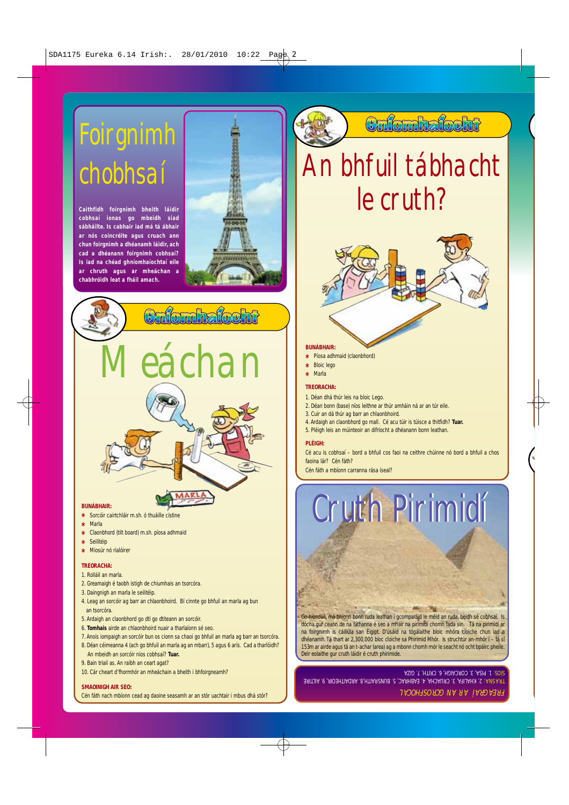## Foirgnimh chobhsaí

**Caithfidh foirgnimh bheith láidir cobhsaí ionas go mbeidh siad sábháilte. Is cabhair iad má tá ábhair ar nós coincréite agus cruach ann chun foirgnimh a dhéanamh láidir, ach cad a dhéanann foirgnimh cobhsaí? Is iad na chéad ghníomhaíochtaí eile ar chruth agus ar mheáchan a chabhróidh leat a fháil amach.**



# Cufomhafocht eáchan

#### **BUNÁBHAIR:**

- **\*** Sorcóir cairtchláir m.sh. ó thuáille cistine **\*** Marla
- **\*** Claonbhord (tilt board) m.sh. píosa adhmaid
- **\*** Seilitéip
- **\*** Miosúr nó rialóirer

#### **TREORACHA:**

- 1. Rolláil an marla.
- 2. Greamaigh é taobh istigh de chiumhais an tsorcóra.
- 3. Daingnigh an marla le seilitéip.
- 4. Leag an sorcóir ag barr an chlaonbhoird. Bí cinnte go bhfuil an marla ag bun an tsorcóra.
- 5. Ardaigh an claonbhord go dtí go dtiteann an sorcóir.
- 6. **Tomhais** airde an chlaonbhoird nuair a tharlaíonn sé seo.
- 7. Anois iompaigh an sorcóir bun os cionn sa chaoi go bhfuil an marla ag barr an tsorcóra.
- 8. Déan céimeanna 4 (ach go bhfuil an marla ag an mbarr), 5 agus 6 arís. Cad a tharlóidh?
- An mbeidh an sorcóir níos cobhsaí? **Tuar.**
- 9. Bain triail as. An raibh an ceart agat?
- 10. Cár cheart d'fhormhór an mheáchain a bheith i bhfoirgneamh?

#### **SMAOINIGH AIR SEO:**

Cén fáth nach mbíonn cead ag daoine seasamh ar an stór uachtair i mbus dhá stór?

### Cnfomhafocht

## An bhfuil tábhacht le cruth?



#### **BUNÁBHAIR:**

- **\*** Píosa adhmaid (claonbhord)
- **\*** Bloic lego
- **\*** Marla

#### **TREORACHA:**

- 1. Déan dhá thúr leis na bloic Lego.
- 2. Déan bonn (base) níos leithne ar thúr amháin ná ar an túr eile.
- 3. Cuir an dá thúr ag barr an chlaonbhoird.
- 4. Ardaigh an claonbhord go mall. Cé acu túir is túisce a thitfidh? **Tuar.**
- 5. Pléigh leis an múinteoir an difríocht a dhéanann bonn leathan.

#### **PLÉIGH:**

Cé acu is cobhsaí – bord a bhfuil cos faoi na ceithre chúinne nó bord a bhfuil a chos faoina lár? Cén fáth?

Cén fáth a mbíonn carranna rása íseal?



dhéanamh. Tá thart ar 2,300,000 bloc cloiche sa Phirimid Mhór. Is struchtúr an-mhór í – tá sí 153m ar airde agus tá an t-achar (area) ag a mbonn chomh mór le seacht nó ocht bpáirc pheile. Deir eolaithe gur cruth láidir é cruth phirimide.

FREAGRAÍ AR AN GCROSFHOCAL TRASNA: 2. KHALIFA, 3. CRUACHA, 4. EABHRAC, 5. BUNSRAITH,8. ARDAITHEOIR, 9. AILTIRE SIOS: 1. PISA, 3. CORCAIGH, 6. CRITH, 7. GIZA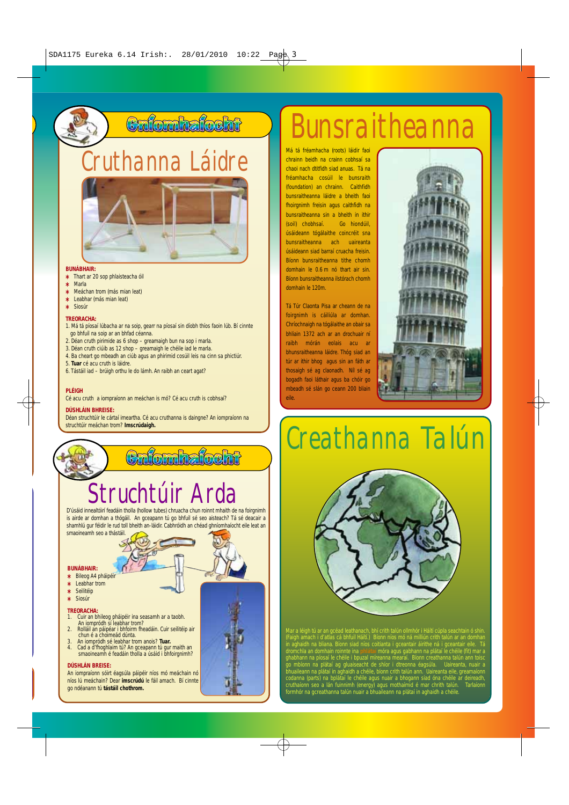## Cnfomhafocht

## **Cruthanna na Láidre Má tá fréamhacha** (roots) láidir faoi



#### **BUNÁBHAIR: \*** Thart ar 20 sop phlaisteacha óil

- 
- **\*** Marla **\*** Meáchan trom (más mian leat)
- **\*** Leabhar (más mian leat)
- **\*** Siosúr
- **TREORACHA:**
- 
- 1. Má tá píosaí lúbacha ar na soip, gearr na píosaí sin díobh thíos faoin lúb. Bí cinnte go bhfuil na soip ar an bhfad céanna.
- 2. Déan cruth pirimide as 6 shop greamaigh bun na sop i marla. 3. Déan cruth ciúib as 12 shop greamaigh le chéile iad le marla.
- 
- 4. Ba cheart go mbeadh an ciúb agus an phirimid cosúil leis na cinn sa phictiúr. 5. **Tuar** cé acu cruth is láidre.
- 
- 6. Tástáil iad brúigh orthu le do lámh. An raibh an ceart agat?

#### **PLÉIGH**

Cé acu cruth a iompraíonn an meáchan is mó? Cé acu cruth is cobhsaí?

#### **DÚSHLÁIN BHREISE:**

Déan struchtúir le cártaí imeartha. Cé acu cruthanna is daingne? An iompraíonn na struchtúir meáchan trom? **Imscrúdaigh.**

## Cnfomhafocht Struchtúir Arda

D'úsáid innealtóirí feadáin tholla (hollow tubes) chruacha chun roinnt mhaith de na foirgnimh is airde ar domhan a thógáil. An gceapann tú go bhfuil sé seo aisteach? Tá sé deacair a shamhlú gur féidir le rud toll bheith an-láidir. Cabhróidh an chéad ghníomhaíocht eile leat an smaoineamh seo a thástáil.

#### **BUNÁBHAIR:**

- **\*** Bileog A4 pháipéir
- **\*** Leabhar trom
- **\*** Seilitéip
- **\*** Siosúr

#### **TREORACHA:**

- 1. Cuir an bhileog pháipéir ina seasamh ar a taobh. An iompródh sí leabhar trom? 2. Rolláil an páipéar i bhfoirm fheadáin. Cuir seilitéip air chun é a choimeád dúnta.
- 
- 3. An iompródh sé leabhar trom anois? **Tuar.** 4. Cad a d'fhoghlaim tú? An gceapann tú gur maith an smaoineamh é feadáin tholla a úsáid i bhfoirgnimh?

#### **DÚSHLÁN BREISE:**

An iompraíonn sóirt éagsúla páipéir níos mó meáchain nó níos lú meáchain? Dear **imscrúdú** le fáil amach. Bí cinnte go ndéanann tú **tástáil chothrom.**

## Bunsraitheanna

chrainn beidh na crainn cobhsaí sa chaoi nach dtitfidh siad anuas. Tá na fréamhacha cosúil le bunsraith (foundation) an chrainn. Caithfidh bunsraitheanna láidre a bheith faoi fhoirgnimh freisin agus caithfidh na bunsraitheanna sin a bheith in ithir (soil) chobhsaí. Go hiondúil, úsáideann tógálaithe coincréit sna bunsraitheanna ach uaireanta úsáideann siad barraí cruacha freisin. Bíonn bunsraitheanna tithe chomh domhain le 0.6 m nó thart air sin. Bíonn bunsraitheanna ilstórach chomh domhain le 120m.

Tá Túr Claonta Pisa ar cheann de na foirgnimh is cáiliúla ar domhan. Chríochnaigh na tógálaithe an obair sa bhliain 1372 ach ar an drochuair ní raibh mórán eolais acu ar bhunsraitheanna láidre. Thóg siad an túr ar ithir bhog agus sin an fáth ar thosaigh sé ag claonadh. Níl sé ag bogadh faoi láthair agus ba chóir go mbeadh sé slán go ceann 200 bliain eile.



## Creathanna Talún



Mar a léigh tú ar an gcéad leathanach, bhí crith talún ollmhór i Háítí cúpla seachtain ó shin. (Faigh amach i d'atlas cá bhfuil Háítí.) Bíonn níos mó ná milliún crith talún ar an domhan in aghaidh na bliana. Bíonn siad níos coitianta i gceantair áirithe ná i gceantair eile. Tá dromchla an domhain roinnte ina **phlátaí** móra agus gabhann na plátaí le chéile (fit) mar a ghabhann na píosaí le chéile i bpuzal míreanna mearaí. Bíonn creathanna talún ann toisc go mbíonn na plátaí ag gluaiseacht de shíor i dtreonna éagsúla. Uaireanta, nuair a bhuaileann na plátaí in aghaidh a chéile, bíonn crith talún ann. Uaireanta eile, greamaíonn codanna (parts) na bplátaí le chéile agus nuair a bhogann siad óna chéile ar deireadh, cruthaíonn seo a lán fuinnimh (energy) agus mothaímid é mar chrith talún. Tarlaíonn formhór na gcreathanna talún nuair a bhuaileann na plátaí in aghaidh a chéile.